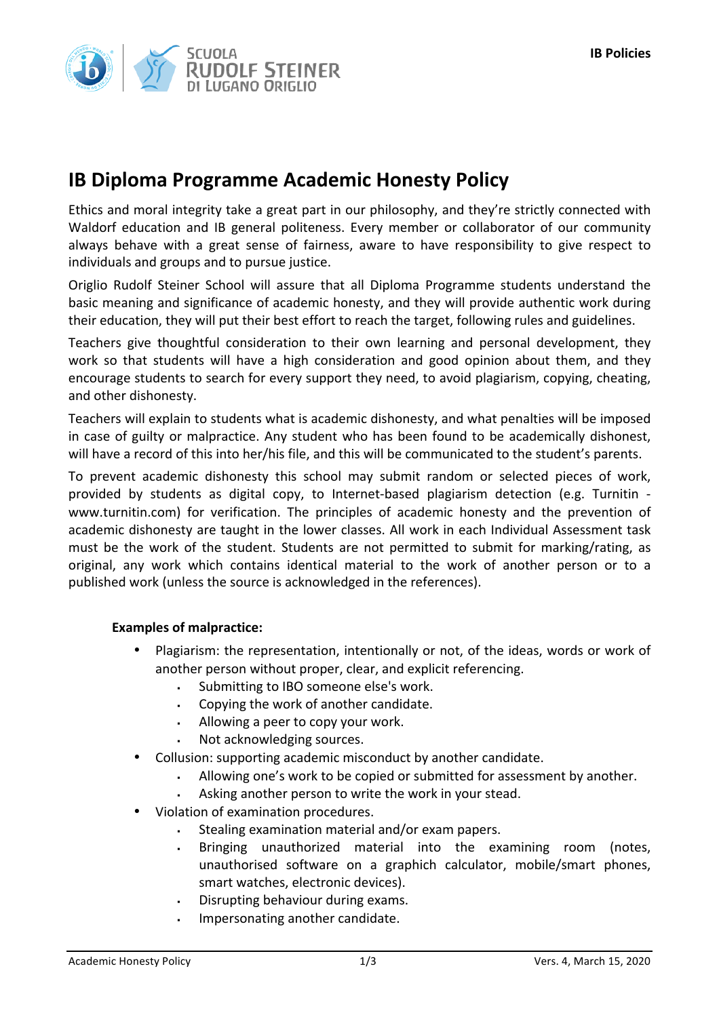

## **IB Diploma Programme Academic Honesty Policy**

Ethics and moral integrity take a great part in our philosophy, and they're strictly connected with Waldorf education and IB general politeness. Every member or collaborator of our community always behave with a great sense of fairness, aware to have responsibility to give respect to individuals and groups and to pursue justice.

Origlio Rudolf Steiner School will assure that all Diploma Programme students understand the basic meaning and significance of academic honesty, and they will provide authentic work during their education, they will put their best effort to reach the target, following rules and guidelines.

Teachers give thoughtful consideration to their own learning and personal development, they work so that students will have a high consideration and good opinion about them, and they encourage students to search for every support they need, to avoid plagiarism, copying, cheating, and other dishonesty.

Teachers will explain to students what is academic dishonesty, and what penalties will be imposed in case of guilty or malpractice. Any student who has been found to be academically dishonest, will have a record of this into her/his file, and this will be communicated to the student's parents.

To prevent academic dishonesty this school may submit random or selected pieces of work, provided by students as digital copy, to Internet-based plagiarism detection (e.g. Turnitin www.turnitin.com) for verification. The principles of academic honesty and the prevention of academic dishonesty are taught in the lower classes. All work in each Individual Assessment task must be the work of the student. Students are not permitted to submit for marking/rating, as original, any work which contains identical material to the work of another person or to a published work (unless the source is acknowledged in the references).

## **Examples of malpractice:**

- Plagiarism: the representation, intentionally or not, of the ideas, words or work of another person without proper, clear, and explicit referencing.
	- Submitting to IBO someone else's work.
	- Copying the work of another candidate.
	- Allowing a peer to copy your work.
	- Not acknowledging sources.
- Collusion: supporting academic misconduct by another candidate.
	- Allowing one's work to be copied or submitted for assessment by another.
	- Asking another person to write the work in your stead.
- Violation of examination procedures.
	- Stealing examination material and/or exam papers.
	- Bringing unauthorized material into the examining room (notes, unauthorised software on a graphich calculator, mobile/smart phones, smart watches, electronic devices).
	- Disrupting behaviour during exams.
	- Impersonating another candidate.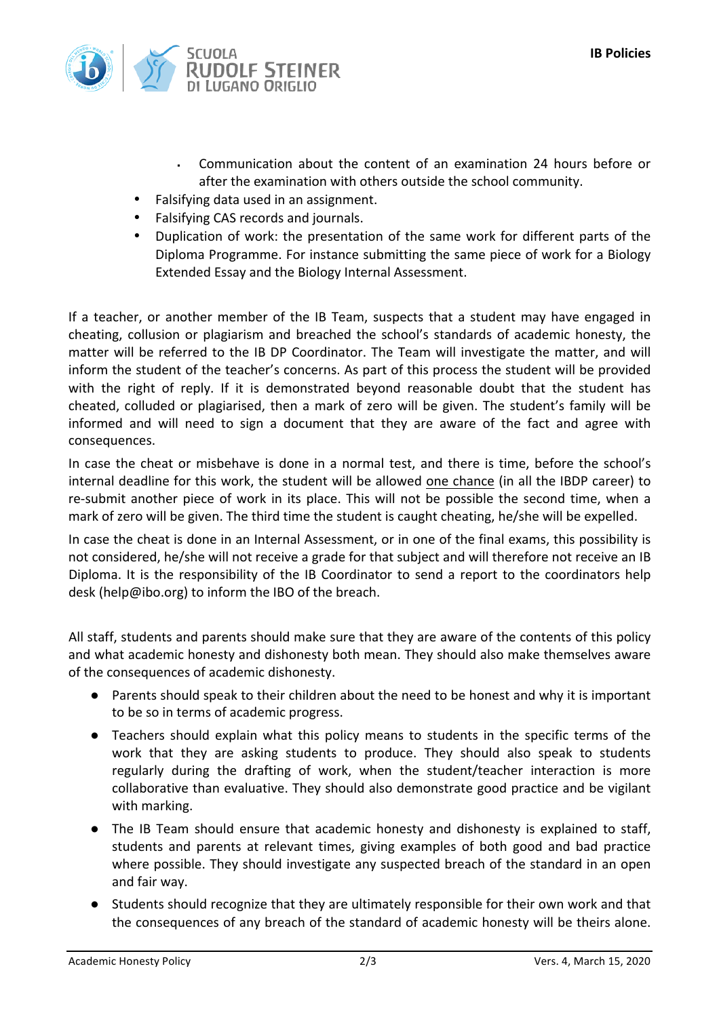

- Communication about the content of an examination 24 hours before or after the examination with others outside the school community.
- Falsifying data used in an assignment.
- Falsifying CAS records and journals.
- Duplication of work: the presentation of the same work for different parts of the Diploma Programme. For instance submitting the same piece of work for a Biology Extended Essay and the Biology Internal Assessment.

If a teacher, or another member of the IB Team, suspects that a student may have engaged in cheating, collusion or plagiarism and breached the school's standards of academic honesty, the matter will be referred to the IB DP Coordinator. The Team will investigate the matter, and will inform the student of the teacher's concerns. As part of this process the student will be provided with the right of reply. If it is demonstrated beyond reasonable doubt that the student has cheated, colluded or plagiarised, then a mark of zero will be given. The student's family will be informed and will need to sign a document that they are aware of the fact and agree with consequences.

In case the cheat or misbehave is done in a normal test, and there is time, before the school's internal deadline for this work, the student will be allowed one chance (in all the IBDP career) to re-submit another piece of work in its place. This will not be possible the second time, when a mark of zero will be given. The third time the student is caught cheating, he/she will be expelled.

In case the cheat is done in an Internal Assessment, or in one of the final exams, this possibility is not considered, he/she will not receive a grade for that subject and will therefore not receive an IB Diploma. It is the responsibility of the IB Coordinator to send a report to the coordinators help desk (help@ibo.org) to inform the IBO of the breach.

All staff, students and parents should make sure that they are aware of the contents of this policy and what academic honesty and dishonesty both mean. They should also make themselves aware of the consequences of academic dishonesty.

- Parents should speak to their children about the need to be honest and why it is important to be so in terms of academic progress.
- Teachers should explain what this policy means to students in the specific terms of the work that they are asking students to produce. They should also speak to students regularly during the drafting of work, when the student/teacher interaction is more collaborative than evaluative. They should also demonstrate good practice and be vigilant with marking.
- The IB Team should ensure that academic honesty and dishonesty is explained to staff, students and parents at relevant times, giving examples of both good and bad practice where possible. They should investigate any suspected breach of the standard in an open and fair way.
- Students should recognize that they are ultimately responsible for their own work and that the consequences of any breach of the standard of academic honesty will be theirs alone.